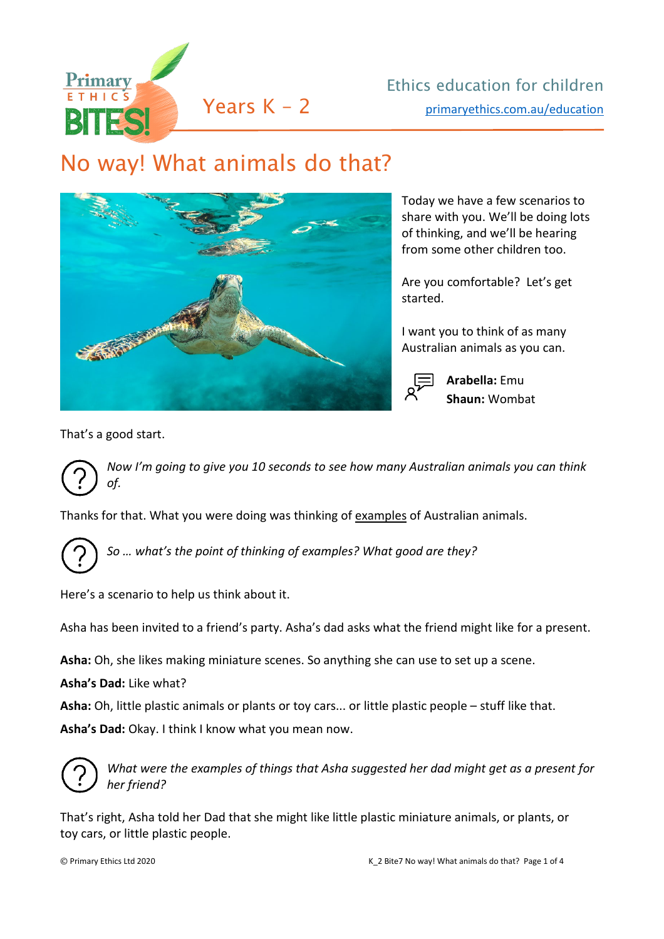

## No way! What animals do that?



Today we have a few scenarios to share with you. We'll be doing lots of thinking, and we'll be hearing from some other children too.

Are you comfortable? Let's get started.

I want you to think of as many Australian animals as you can.



**Arabella:** Emu **Shaun:** Wombat

That's a good start.

*Now I'm going to give you 10 seconds to see how many Australian animals you can think of.*

Thanks for that. What you were doing was thinking of examples of Australian animals.



*So … what's the point of thinking of examples? What good are they?*

Here's a scenario to help us think about it.

Asha has been invited to a friend's party. Asha's dad asks what the friend might like for a present.

**Asha:** Oh, she likes making miniature scenes. So anything she can use to set up a scene.

**Asha's Dad:** Like what?

**Asha:** Oh, little plastic animals or plants or toy cars... or little plastic people – stuff like that.

**Asha's Dad:** Okay. I think I know what you mean now.



*What were the examples of things that Asha suggested her dad might get as a present for her friend?* 

That's right, Asha told her Dad that she might like little plastic miniature animals, or plants, or toy cars, or little plastic people.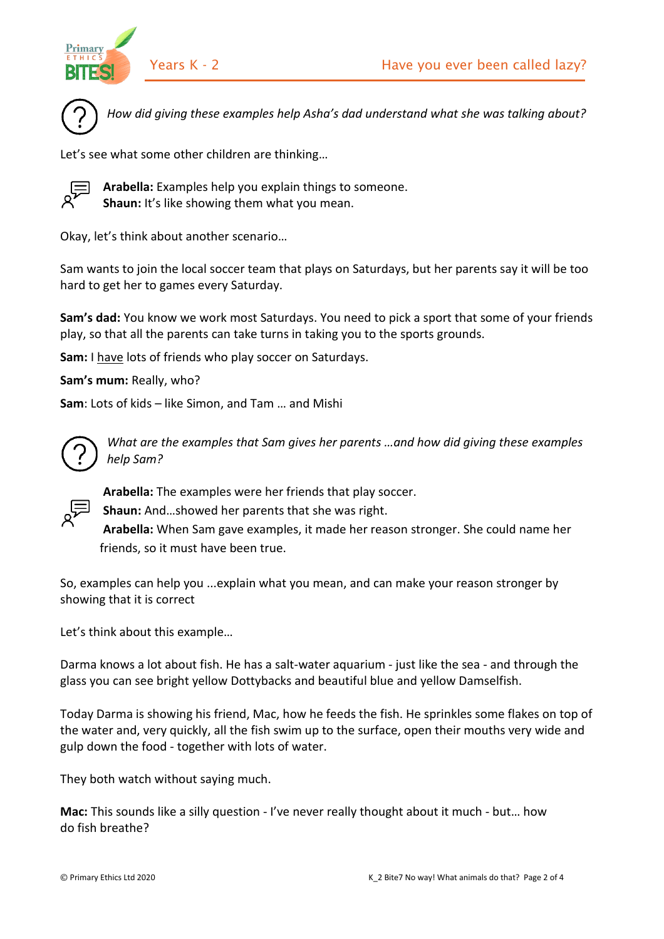





*How did giving these examples help Asha's dad understand what she was talking about?*

Let's see what some other children are thinking…



**Arabella:** Examples help you explain things to someone. **Shaun:** It's like showing them what you mean.

Okay, let's think about another scenario…

Sam wants to join the local soccer team that plays on Saturdays, but her parents say it will be too hard to get her to games every Saturday.

**Sam's dad:** You know we work most Saturdays. You need to pick a sport that some of your friends play, so that all the parents can take turns in taking you to the sports grounds.

**Sam:** I have lots of friends who play soccer on Saturdays.

**Sam's mum:** Really, who?

**Sam**: Lots of kids – like Simon, and Tam … and Mishi



*What are the examples that Sam gives her parents …and how did giving these examples help Sam?*



**Arabella:** The examples were her friends that play soccer.

**Shaun:** And…showed her parents that she was right.

**Arabella:** When Sam gave examples, it made her reason stronger. She could name her friends, so it must have been true.

So, examples can help you ...explain what you mean, and can make your reason stronger by showing that it is correct

Let's think about this example…

Darma knows a lot about fish. He has a salt-water aquarium - just like the sea - and through the glass you can see bright yellow Dottybacks and beautiful blue and yellow Damselfish.

Today Darma is showing his friend, Mac, how he feeds the fish. He sprinkles some flakes on top of the water and, very quickly, all the fish swim up to the surface, open their mouths very wide and gulp down the food - together with lots of water.

They both watch without saying much.

**Mac:** This sounds like a silly question - I've never really thought about it much - but… how do fish breathe?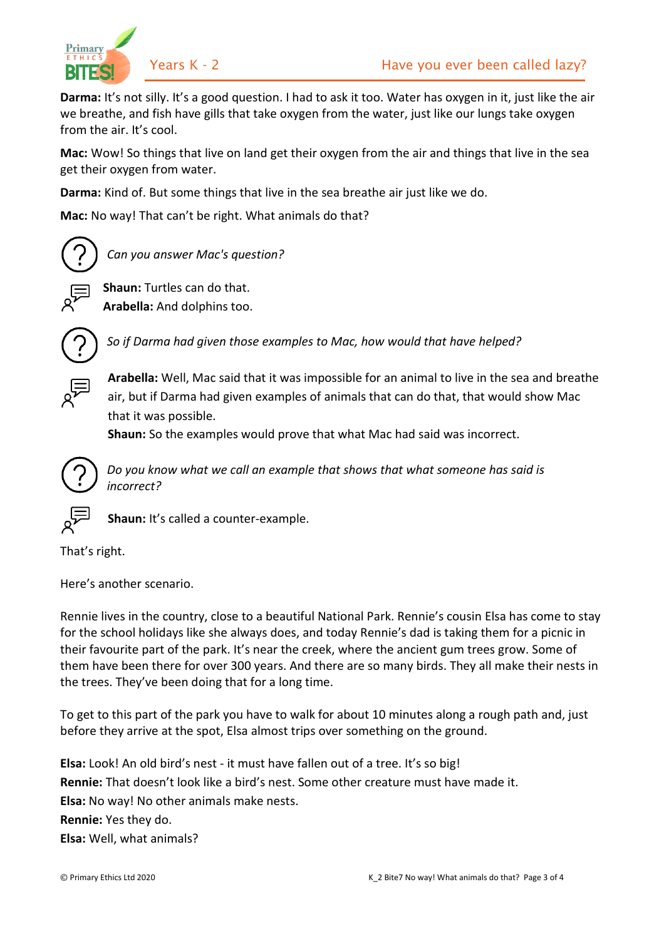



**Darma:** It's not silly. It's a good question. I had to ask it too. Water has oxygen in it, just like the air we breathe, and fish have gills that take oxygen from the water, just like our lungs take oxygen from the air. It's cool.

**Mac:** Wow! So things that live on land get their oxygen from the air and things that live in the sea get their oxygen from water.

**Darma:** Kind of. But some things that live in the sea breathe air just like we do.

**Mac:** No way! That can't be right. What animals do that?



*Can you answer Mac's question?*

**Shaun:** Turtles can do that. **Arabella:** And dolphins too.



*So if Darma had given those examples to Mac, how would that have helped?*

**Arabella:** Well, Mac said that it was impossible for an animal to live in the sea and breathe air, but if Darma had given examples of animals that can do that, that would show Mac that it was possible.

**Shaun:** So the examples would prove that what Mac had said was incorrect.



*Do you know what we call an example that shows that what someone has said is incorrect?*



**Shaun:** It's called a counter-example.

That's right.

Here's another scenario.

Rennie lives in the country, close to a beautiful National Park. Rennie's cousin Elsa has come to stay for the school holidays like she always does, and today Rennie's dad is taking them for a picnic in their favourite part of the park. It's near the creek, where the ancient gum trees grow. Some of them have been there for over 300 years. And there are so many birds. They all make their nests in the trees. They've been doing that for a long time.

To get to this part of the park you have to walk for about 10 minutes along a rough path and, just before they arrive at the spot, Elsa almost trips over something on the ground.

**Elsa:** Look! An old bird's nest - it must have fallen out of a tree. It's so big! **Rennie:** That doesn't look like a bird's nest. Some other creature must have made it. **Elsa:** No way! No other animals make nests. **Rennie:** Yes they do.

**Elsa:** Well, what animals?